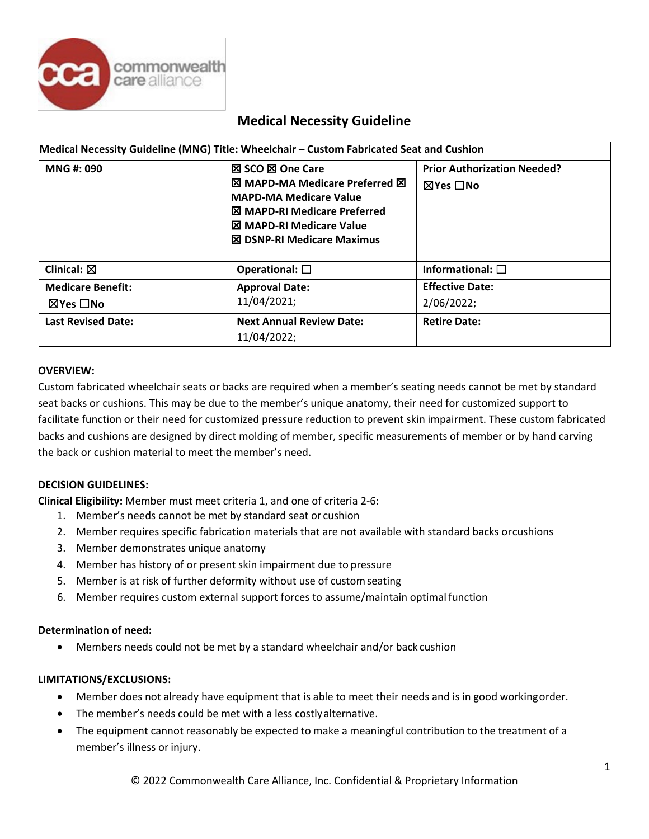

# **Medical Necessity Guideline**

| Medical Necessity Guideline (MNG) Title: Wheelchair - Custom Fabricated Seat and Cushion |                                                                                                                                                                                                                                                                |                                                |  |  |
|------------------------------------------------------------------------------------------|----------------------------------------------------------------------------------------------------------------------------------------------------------------------------------------------------------------------------------------------------------------|------------------------------------------------|--|--|
| MNG #: 090                                                                               | <b>区 SCO 区 One Care</b><br><b>IX MAPD-MA Medicare Preferred X</b><br><b>MAPD-MA Medicare Value</b><br><b><b>I</b>S MAPD-RI Medicare Preferred</b><br><b><b>I</b><sub><math>\Omega</math></sub> MAPD-RI Medicare Value</b><br><b>区 DSNP-RI Medicare Maximus</b> | <b>Prior Authorization Needed?</b><br>⊠Yes □No |  |  |
| Clinical: $\boxtimes$                                                                    | Operational: $\square$                                                                                                                                                                                                                                         | Informational: $\square$                       |  |  |
| <b>Medicare Benefit:</b><br>$\boxtimes$ Yes $\Box$ No                                    | <b>Approval Date:</b><br>11/04/2021;                                                                                                                                                                                                                           | <b>Effective Date:</b><br>2/06/2022;           |  |  |
| <b>Last Revised Date:</b>                                                                | <b>Next Annual Review Date:</b><br>11/04/2022;                                                                                                                                                                                                                 | <b>Retire Date:</b>                            |  |  |

# **OVERVIEW:**

Custom fabricated wheelchair seats or backs are required when a member's seating needs cannot be met by standard seat backs or cushions. This may be due to the member's unique anatomy, their need for customized support to facilitate function or their need for customized pressure reduction to prevent skin impairment. These custom fabricated backs and cushions are designed by direct molding of member, specific measurements of member or by hand carving the back or cushion material to meet the member's need.

# **DECISION GUIDELINES:**

**Clinical Eligibility:** Member must meet criteria 1, and one of criteria 2-6:

- 1. Member's needs cannot be met by standard seat or cushion
- 2. Member requires specific fabrication materials that are not available with standard backs orcushions
- 3. Member demonstrates unique anatomy
- 4. Member has history of or present skin impairment due to pressure
- 5. Member is at risk of further deformity without use of customseating
- 6. Member requires custom external support forces to assume/maintain optimal function

# **Determination of need:**

• Members needs could not be met by a standard wheelchair and/or back cushion

# **LIMITATIONS/EXCLUSIONS:**

- Member does not already have equipment that is able to meet their needs and is in good workingorder.
- The member's needs could be met with a less costly alternative.
- The equipment cannot reasonably be expected to make a meaningful contribution to the treatment of a member's illness or injury.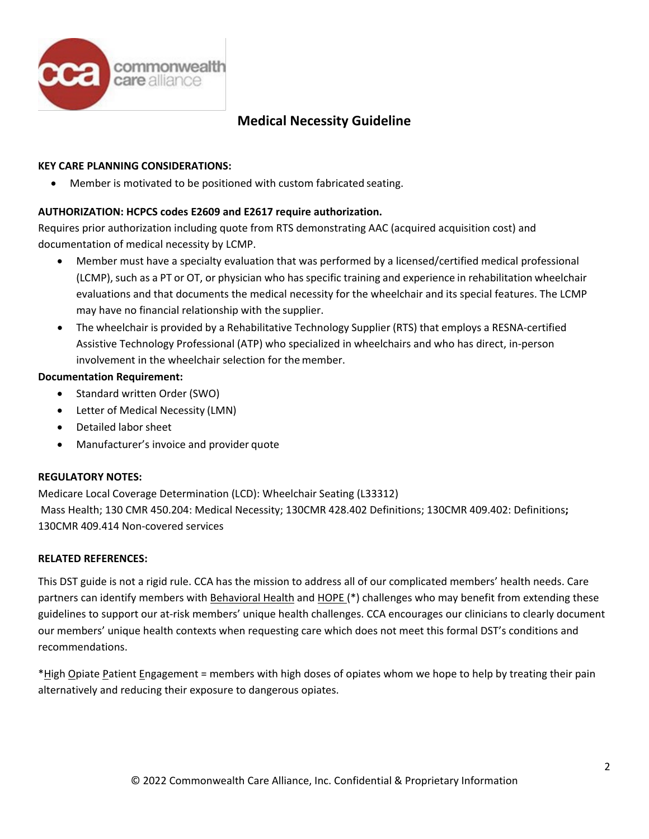

# **Medical Necessity Guideline**

# **KEY CARE PLANNING CONSIDERATIONS:**

• Member is motivated to be positioned with custom fabricated seating.

# **AUTHORIZATION: HCPCS codes E2609 and E2617 require authorization.**

Requires prior authorization including quote from RTS demonstrating AAC (acquired acquisition cost) and documentation of medical necessity by LCMP.

- Member must have a specialty evaluation that was performed by a licensed/certified medical professional (LCMP), such as a PT or OT, or physician who has specific training and experience in rehabilitation wheelchair evaluations and that documents the medical necessity for the wheelchair and its special features. The LCMP may have no financial relationship with the supplier.
- The wheelchair is provided by a Rehabilitative Technology Supplier (RTS) that employs a RESNA-certified Assistive Technology Professional (ATP) who specialized in wheelchairs and who has direct, in-person involvement in the wheelchair selection for the member.

# **Documentation Requirement:**

- Standard written Order (SWO)
- Letter of Medical Necessity (LMN)
- Detailed labor sheet
- Manufacturer's invoice and provider quote

# **REGULATORY NOTES:**

Medicare Local Coverage Determination (LCD): Wheelchair Seating (L33312) Mass Health; 130 CMR 450.204: Medical Necessity; 130CMR 428.402 Definitions; 130CMR 409.402: Definitions**;**  130CMR 409.414 Non-covered services

# **RELATED REFERENCES:**

This DST guide is not a rigid rule. CCA has the mission to address all of our complicated members' health needs. Care partners can identify members with Behavioral Health and HOPE (\*) challenges who may benefit from extending these guidelines to support our at-risk members' unique health challenges. CCA encourages our clinicians to clearly document our members' unique health contexts when requesting care which does not meet this formal DST's conditions and recommendations.

\*High Opiate Patient Engagement = members with high doses of opiates whom we hope to help by treating their pain alternatively and reducing their exposure to dangerous opiates.